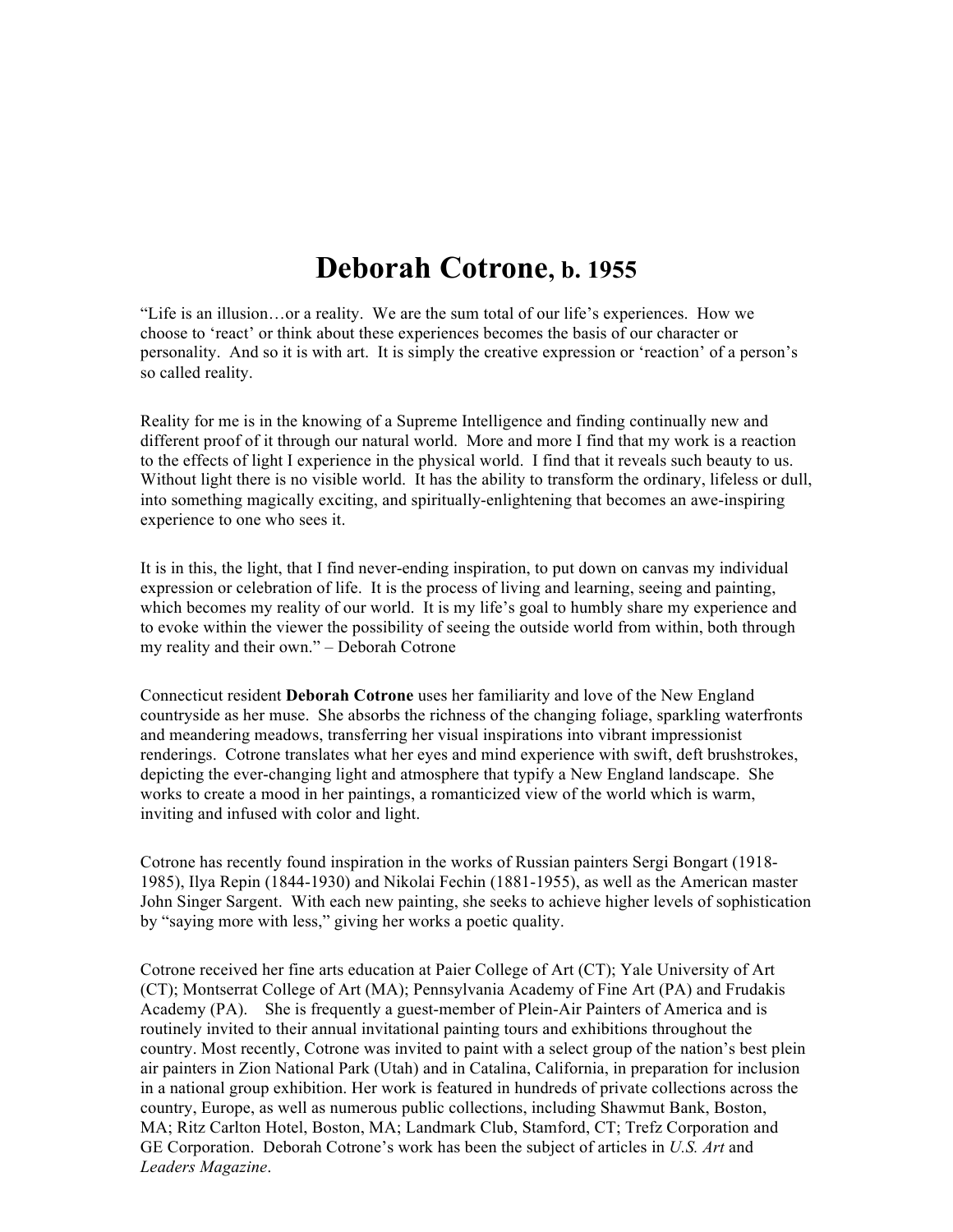## **Deborah Cotrone, b. 1955**

"Life is an illusion…or a reality. We are the sum total of our life's experiences. How we choose to 'react' or think about these experiences becomes the basis of our character or personality. And so it is with art. It is simply the creative expression or 'reaction' of a person's so called reality.

Reality for me is in the knowing of a Supreme Intelligence and finding continually new and different proof of it through our natural world. More and more I find that my work is a reaction to the effects of light I experience in the physical world. I find that it reveals such beauty to us. Without light there is no visible world. It has the ability to transform the ordinary, lifeless or dull, into something magically exciting, and spiritually-enlightening that becomes an awe-inspiring experience to one who sees it.

It is in this, the light, that I find never-ending inspiration, to put down on canvas my individual expression or celebration of life. It is the process of living and learning, seeing and painting, which becomes my reality of our world. It is my life's goal to humbly share my experience and to evoke within the viewer the possibility of seeing the outside world from within, both through my reality and their own." – Deborah Cotrone

Connecticut resident **Deborah Cotrone** uses her familiarity and love of the New England countryside as her muse. She absorbs the richness of the changing foliage, sparkling waterfronts and meandering meadows, transferring her visual inspirations into vibrant impressionist renderings. Cotrone translates what her eyes and mind experience with swift, deft brushstrokes, depicting the ever-changing light and atmosphere that typify a New England landscape. She works to create a mood in her paintings, a romanticized view of the world which is warm, inviting and infused with color and light.

Cotrone has recently found inspiration in the works of Russian painters Sergi Bongart (1918- 1985), Ilya Repin (1844-1930) and Nikolai Fechin (1881-1955), as well as the American master John Singer Sargent. With each new painting, she seeks to achieve higher levels of sophistication by "saying more with less," giving her works a poetic quality.

Cotrone received her fine arts education at Paier College of Art (CT); Yale University of Art (CT); Montserrat College of Art (MA); Pennsylvania Academy of Fine Art (PA) and Frudakis Academy (PA). She is frequently a guest-member of Plein-Air Painters of America and is routinely invited to their annual invitational painting tours and exhibitions throughout the country. Most recently, Cotrone was invited to paint with a select group of the nation's best plein air painters in Zion National Park (Utah) and in Catalina, California, in preparation for inclusion in a national group exhibition. Her work is featured in hundreds of private collections across the country, Europe, as well as numerous public collections, including Shawmut Bank, Boston, MA; Ritz Carlton Hotel, Boston, MA; Landmark Club, Stamford, CT; Trefz Corporation and GE Corporation. Deborah Cotrone's work has been the subject of articles in *U.S. Art* and *Leaders Magazine*.